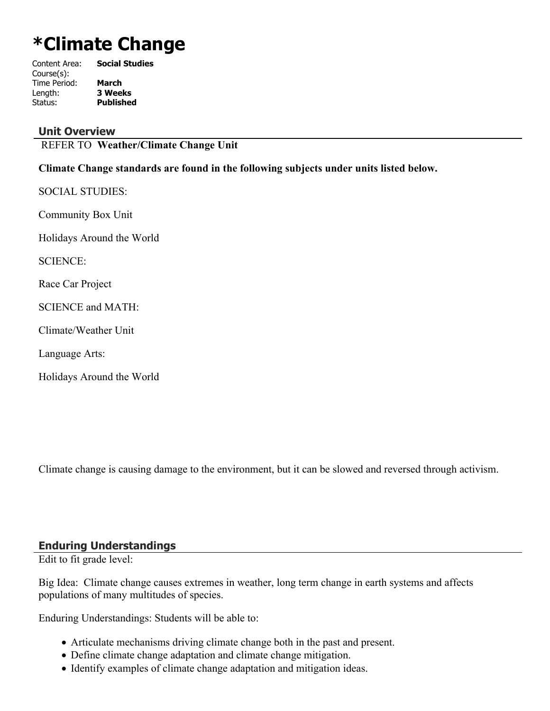# **\*Climate Change**

| Content Area: | <b>Social Studies</b> |
|---------------|-----------------------|
| Course(s):    |                       |
| Time Period:  | <b>March</b>          |
| Length:       | <b>3 Weeks</b>        |
| Status:       | <b>Published</b>      |
|               |                       |

#### **Unit Overview**

REFER TO **Weather/Climate Change Unit**

#### **Climate Change standards are found in the following subjects under units listed below.**

SOCIAL STUDIES: Community Box Unit

Holidays Around the World

SCIENCE:

Race Car Project

SCIENCE and MATH:

Climate/Weather Unit

Language Arts:

Holidays Around the World

Climate change is causing damage to the environment, but it can be slowed and reversed through activism.

#### **Enduring Understandings**

Edit to fit grade level:

Big Idea: Climate change causes extremes in weather, long term change in earth systems and affects populations of many multitudes of species.

Enduring Understandings: Students will be able to:

- Articulate mechanisms driving climate change both in the past and present.
- Define climate change adaptation and climate change mitigation.
- Identify examples of climate change adaptation and mitigation ideas.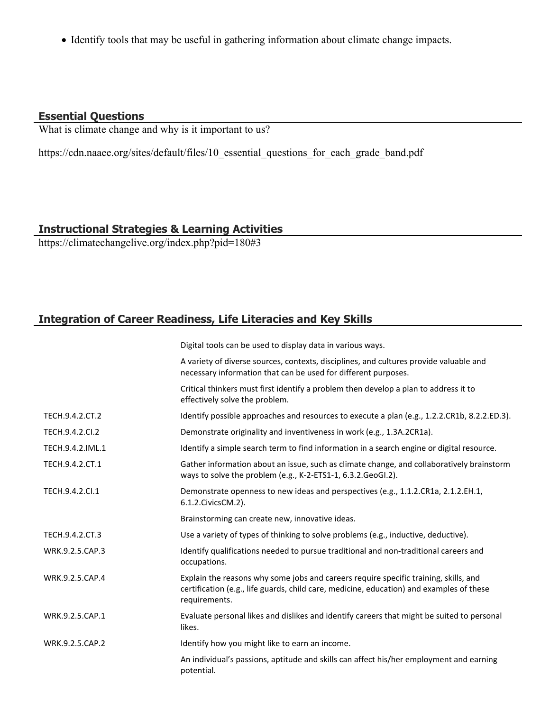• Identify tools that may be useful in gathering information about climate change impacts.

# **Essential Questions**

What is climate change and why is it important to us?

https://cdn.naaee.org/sites/default/files/10 essential questions for each grade band.pdf

# **Instructional Strategies & Learning Activities**

https://climatechangelive.org/index.php?pid=180#3

# **Integration of Career Readiness, Life Literacies and Key Skills**

|                  | Digital tools can be used to display data in various ways.                                                                                                                                        |
|------------------|---------------------------------------------------------------------------------------------------------------------------------------------------------------------------------------------------|
|                  | A variety of diverse sources, contexts, disciplines, and cultures provide valuable and<br>necessary information that can be used for different purposes.                                          |
|                  | Critical thinkers must first identify a problem then develop a plan to address it to<br>effectively solve the problem.                                                                            |
| TECH.9.4.2.CT.2  | Identify possible approaches and resources to execute a plan (e.g., 1.2.2.CR1b, 8.2.2.ED.3).                                                                                                      |
| TECH.9.4.2.CI.2  | Demonstrate originality and inventiveness in work (e.g., 1.3A.2CR1a).                                                                                                                             |
| TECH.9.4.2.IML.1 | Identify a simple search term to find information in a search engine or digital resource.                                                                                                         |
| TECH.9.4.2.CT.1  | Gather information about an issue, such as climate change, and collaboratively brainstorm<br>ways to solve the problem (e.g., K-2-ETS1-1, 6.3.2.GeoGI.2).                                         |
| TECH.9.4.2.CI.1  | Demonstrate openness to new ideas and perspectives (e.g., 1.1.2.CR1a, 2.1.2.EH.1,<br>6.1.2. Civics CM. 2).                                                                                        |
|                  | Brainstorming can create new, innovative ideas.                                                                                                                                                   |
| TECH.9.4.2.CT.3  | Use a variety of types of thinking to solve problems (e.g., inductive, deductive).                                                                                                                |
| WRK.9.2.5.CAP.3  | Identify qualifications needed to pursue traditional and non-traditional careers and<br>occupations.                                                                                              |
| WRK.9.2.5.CAP.4  | Explain the reasons why some jobs and careers require specific training, skills, and<br>certification (e.g., life guards, child care, medicine, education) and examples of these<br>requirements. |
| WRK.9.2.5.CAP.1  | Evaluate personal likes and dislikes and identify careers that might be suited to personal<br>likes.                                                                                              |
| WRK.9.2.5.CAP.2  | Identify how you might like to earn an income.                                                                                                                                                    |
|                  | An individual's passions, aptitude and skills can affect his/her employment and earning<br>potential.                                                                                             |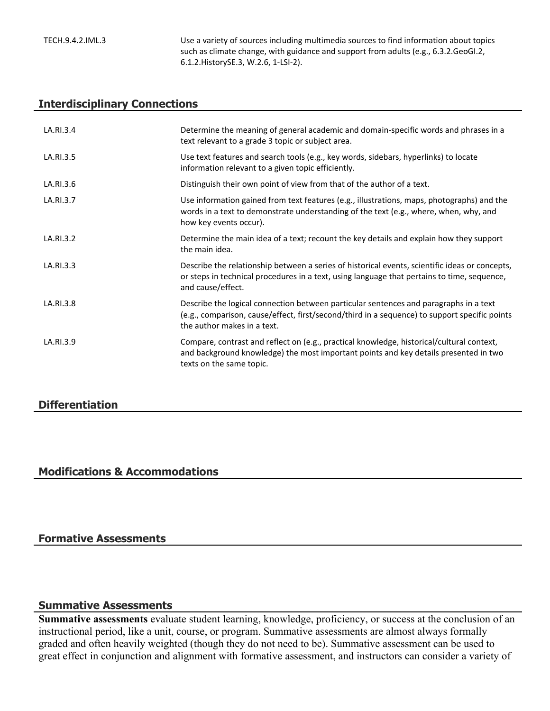TECH.9.4.2.IML.3 Use a variety of sources including multimedia sources to find information about topics such as climate change, with guidance and support from adults (e.g., 6.3.2.GeoGI.2, 6.1.2.HistorySE.3, W.2.6, 1-LSI-2).

### **Interdisciplinary Connections**

| LA.RI.3.4 | Determine the meaning of general academic and domain-specific words and phrases in a<br>text relevant to a grade 3 topic or subject area.                                                                             |
|-----------|-----------------------------------------------------------------------------------------------------------------------------------------------------------------------------------------------------------------------|
| LA.RI.3.5 | Use text features and search tools (e.g., key words, sidebars, hyperlinks) to locate<br>information relevant to a given topic efficiently.                                                                            |
| LA.RI.3.6 | Distinguish their own point of view from that of the author of a text.                                                                                                                                                |
| LA.RI.3.7 | Use information gained from text features (e.g., illustrations, maps, photographs) and the<br>words in a text to demonstrate understanding of the text (e.g., where, when, why, and<br>how key events occur).         |
| LA.RI.3.2 | Determine the main idea of a text; recount the key details and explain how they support<br>the main idea.                                                                                                             |
| LA.RI.3.3 | Describe the relationship between a series of historical events, scientific ideas or concepts,<br>or steps in technical procedures in a text, using language that pertains to time, sequence,<br>and cause/effect.    |
| LA.RI.3.8 | Describe the logical connection between particular sentences and paragraphs in a text<br>(e.g., comparison, cause/effect, first/second/third in a sequence) to support specific points<br>the author makes in a text. |
| LA.RI.3.9 | Compare, contrast and reflect on (e.g., practical knowledge, historical/cultural context,<br>and background knowledge) the most important points and key details presented in two<br>texts on the same topic.         |

## **Differentiation**

#### **Modifications & Accommodations**

#### **Formative Assessments**

#### **Summative Assessments**

**Summative assessments** evaluate student learning, knowledge, proficiency, or success at the conclusion of an instructional period, like a unit, course, or program. Summative assessments are almost always formally graded and often heavily weighted (though they do not need to be). Summative assessment can be used to great effect in conjunction and alignment with formative assessment, and instructors can consider a variety of